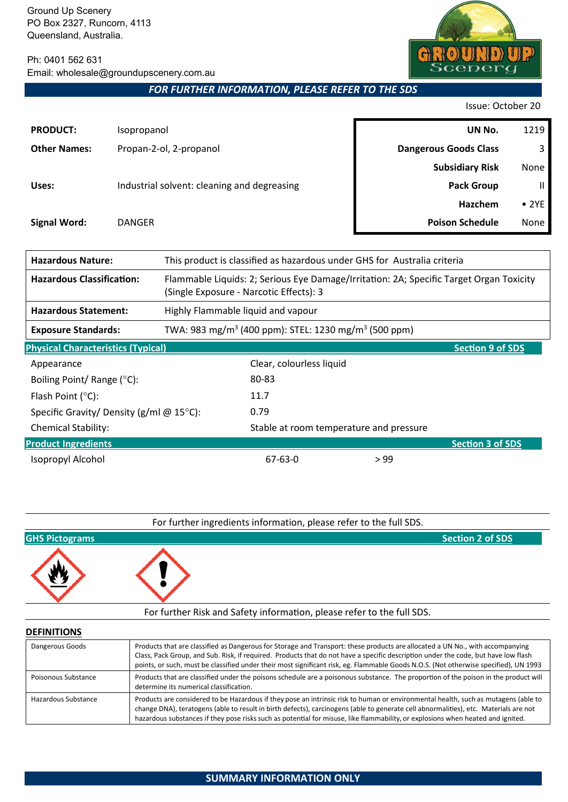Ph: 0401 562 631 Email: wholesale@groundupscenery.com.au

*FOR FURTHER INFORMATION, PLEASE REFER TO THE SDS*

Issue: October 20

der

 $\Omega$ 

 $_{\rm cen}$ 

 $\left| \bm{\theta} \right|$ 

| <b>PRODUCT:</b>     | Isopropanol                                 | UN No.                       | 1219          |
|---------------------|---------------------------------------------|------------------------------|---------------|
| <b>Other Names:</b> | Propan-2-ol, 2-propanol                     | <b>Dangerous Goods Class</b> | 3             |
|                     |                                             | <b>Subsidiary Risk</b>       | None          |
| Uses:               | Industrial solvent: cleaning and degreasing | <b>Pack Group</b>            | $\mathbf{II}$ |
|                     |                                             | Hazchem                      | $\bullet$ 2YE |
| <b>Signal Word:</b> | <b>DANGER</b>                               | <b>Poison Schedule</b>       | None          |
|                     |                                             |                              |               |

| <b>Hazardous Nature:</b><br>This product is classified as hazardous under GHS for Australia criteria |                                                                                                                                    |                                         |      |                         |
|------------------------------------------------------------------------------------------------------|------------------------------------------------------------------------------------------------------------------------------------|-----------------------------------------|------|-------------------------|
| <b>Hazardous Classification:</b>                                                                     | Flammable Liquids: 2; Serious Eye Damage/Irritation: 2A; Specific Target Organ Toxicity<br>(Single Exposure - Narcotic Effects): 3 |                                         |      |                         |
| <b>Hazardous Statement:</b>                                                                          | Highly Flammable liquid and vapour                                                                                                 |                                         |      |                         |
| <b>Exposure Standards:</b>                                                                           | TWA: 983 mg/m <sup>3</sup> (400 ppm): STEL: 1230 mg/m <sup>3</sup> (500 ppm)                                                       |                                         |      |                         |
| <b>Physical Characteristics (Typical)</b><br><b>Section 9 of SDS</b>                                 |                                                                                                                                    |                                         |      |                         |
| Appearance                                                                                           |                                                                                                                                    | Clear, colourless liquid                |      |                         |
| Boiling Point/ Range (°C):                                                                           |                                                                                                                                    | 80-83                                   |      |                         |
| Flash Point $(°C)$ :                                                                                 |                                                                                                                                    | 11.7                                    |      |                         |
| Specific Gravity/ Density (g/ml @ 15°C):                                                             |                                                                                                                                    | 0.79                                    |      |                         |
| <b>Chemical Stability:</b>                                                                           |                                                                                                                                    | Stable at room temperature and pressure |      |                         |
| <b>Product Ingredients</b>                                                                           |                                                                                                                                    |                                         |      | <b>Section 3 of SDS</b> |
| Isopropyl Alcohol                                                                                    |                                                                                                                                    | $67 - 63 - 0$                           | > 99 |                         |



**DEFINITIONS**

| Dangerous Goods     | Products that are classified as Dangerous for Storage and Transport: these products are allocated a UN No., with accompanying<br>Class, Pack Group, and Sub. Risk, if required. Products that do not have a specific description under the code, but have low flash<br>points, or such, must be classified under their most significant risk, eg. Flammable Goods N.O.S. (Not otherwise specified), UN 1993   |
|---------------------|---------------------------------------------------------------------------------------------------------------------------------------------------------------------------------------------------------------------------------------------------------------------------------------------------------------------------------------------------------------------------------------------------------------|
| Poisonous Substance | Products that are classified under the poisons schedule are a poisonous substance. The proportion of the poison in the product will<br>determine its numerical classification.                                                                                                                                                                                                                                |
| Hazardous Substance | Products are considered to be Hazardous if they pose an intrinsic risk to human or environmental health, such as mutagens (able to<br>change DNA), teratogens (able to result in birth defects), carcinogens (able to generate cell abnormalities), etc. Materials are not<br>hazardous substances if they pose risks such as potential for misuse, like flammability, or explosions when heated and ignited. |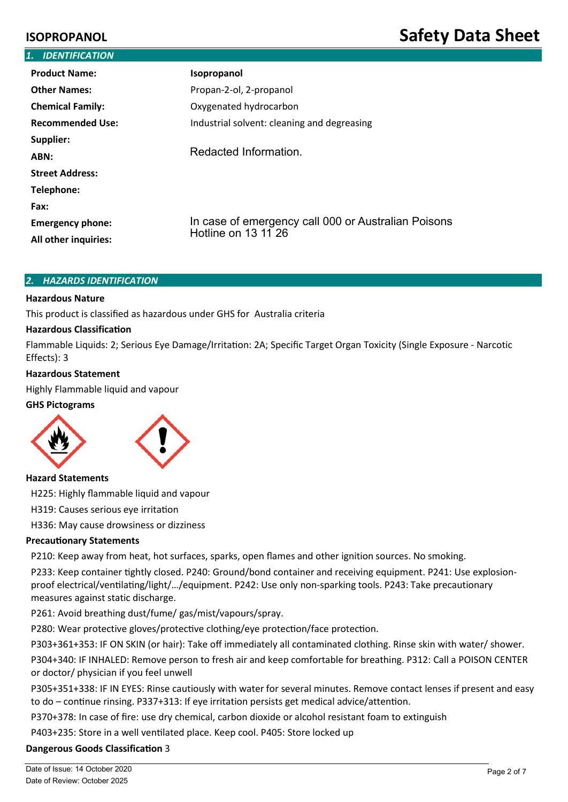| 1. IDENTIFICATION                               |                                                                            |  |  |  |
|-------------------------------------------------|----------------------------------------------------------------------------|--|--|--|
| <b>Product Name:</b>                            | Isopropanol                                                                |  |  |  |
| <b>Other Names:</b>                             | Propan-2-ol, 2-propanol                                                    |  |  |  |
| <b>Chemical Family:</b>                         | Oxygenated hydrocarbon                                                     |  |  |  |
| <b>Recommended Use:</b>                         | Industrial solvent: cleaning and degreasing                                |  |  |  |
| Supplier:                                       |                                                                            |  |  |  |
| ABN:                                            | Redacted Information.                                                      |  |  |  |
| <b>Street Address:</b>                          |                                                                            |  |  |  |
| Telephone:                                      |                                                                            |  |  |  |
| Fax:                                            |                                                                            |  |  |  |
| <b>Emergency phone:</b><br>All other inquiries: | In case of emergency call 000 or Australian Poisons<br>Hotline on 13 11 26 |  |  |  |

### *2. HAZARDS IDENTIFICATION*

### **Hazardous Nature**

This product is classified as hazardous under GHS for Australia criteria

### **Hazardous Classification**

Flammable Liquids: 2; Serious Eye Damage/Irritation: 2A; Specific Target Organ Toxicity (Single Exposure - Narcotic Effects): 3

### **Hazardous Statement**

Highly Flammable liquid and vapour

### **GHS Pictograms**





### **Hazard Statements**

H225: Highly flammable liquid and vapour

H319: Causes serious eye irritation

H336: May cause drowsiness or dizziness

### **Precautionary Statements**

P210: Keep away from heat, hot surfaces, sparks, open flames and other ignition sources. No smoking.

P233: Keep container �ghtly closed. P240: Ground/bond container and receiving equipment. P241: Use explosionproof electrical/ventilating/light/.../equipment. P242: Use only non-sparking tools. P243: Take precautionary measures against static discharge.

P261: Avoid breathing dust/fume/ gas/mist/vapours/spray.

P280: Wear protective gloves/protective clothing/eye protection/face protection.

P303+361+353: IF ON SKIN (or hair): Take off immediately all contaminated clothing. Rinse skin with water/ shower.

P304+340: IF INHALED: Remove person to fresh air and keep comfortable for breathing. P312: Call a POISON CENTER or doctor/ physician if you feel unwell

P305+351+338: IF IN EYES: Rinse cautiously with water for several minutes. Remove contact lenses if present and easy to do – continue rinsing. P337+313: If eye irritation persists get medical advice/attention.

P370+378: In case of fire: use dry chemical, carbon dioxide or alcohol resistant foam to extinguish

P403+235: Store in a well ventilated place. Keep cool. P405: Store locked up

### **Dangerous Goods Classification** 3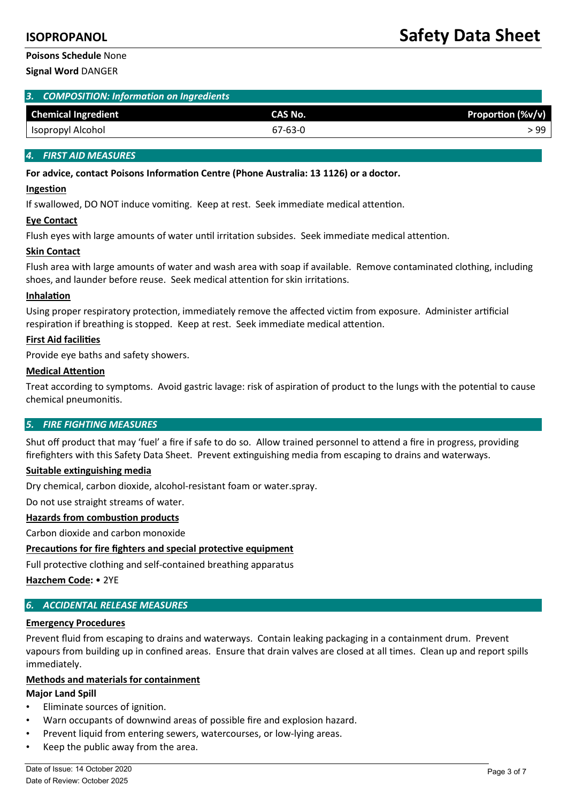# **Poisons Schedule** None

**Signal Word** DANGER

| 3. COMPOSITION: Information on Ingredients |  |
|--------------------------------------------|--|
|                                            |  |

| <b>Chemical Ingredient</b> | <b>CAS No.</b> | Proportion (%v/v) |
|----------------------------|----------------|-------------------|
| Isopropyl Alcohol          | 67-63-0        | -99               |

# *4. FIRST AID MEASURES*

### **For advice, contact Poisons Informa�on Centre (Phone Australia: 13 1126) or a doctor.**

### **Ingestion**

If swallowed, DO NOT induce vomiting. Keep at rest. Seek immediate medical attention.

### **Eye Contact**

Flush eyes with large amounts of water until irritation subsides. Seek immediate medical attention.

### **Skin Contact**

Flush area with large amounts of water and wash area with soap if available. Remove contaminated clothing, including shoes, and launder before reuse. Seek medical attention for skin irritations.

### **Inhalation**

Using proper respiratory protection, immediately remove the affected victim from exposure. Administer artificial respiration if breathing is stopped. Keep at rest. Seek immediate medical attention.

### **First Aid facili�es**

Provide eye baths and safety showers.

### **Medical Attention**

Treat according to symptoms. Avoid gastric lavage: risk of aspiration of product to the lungs with the potential to cause chemical pneumonitis.

### *5. FIRE FIGHTING MEASURES*

Shut off product that may 'fuel' a fire if safe to do so. Allow trained personnel to attend a fire in progress, providing firefighters with this Safety Data Sheet. Prevent extinguishing media from escaping to drains and waterways.

### **Suitable extinguishing media**

Dry chemical, carbon dioxide, alcohol-resistant foam or water.spray.

Do not use straight streams of water.

### **Hazards from combustion products**

Carbon dioxide and carbon monoxide

# **Precau�ons for fire fighters and special protective equipment**

Full protective clothing and self-contained breathing apparatus

**Hazchem Code:** • 2YE

# *6. ACCIDENTAL RELEASE MEASURES*

### **Emergency Procedures**

Prevent fluid from escaping to drains and waterways. Contain leaking packaging in a containment drum. Prevent vapours from building up in confined areas. Ensure that drain valves are closed at all times. Clean up and report spills immediately.

### **Methods and materials for containment**

### **Major Land Spill**

- Eliminate sources of ignition.
- Warn occupants of downwind areas of possible fire and explosion hazard.
- Prevent liquid from entering sewers, watercourses, or low-lying areas.
- Keep the public away from the area.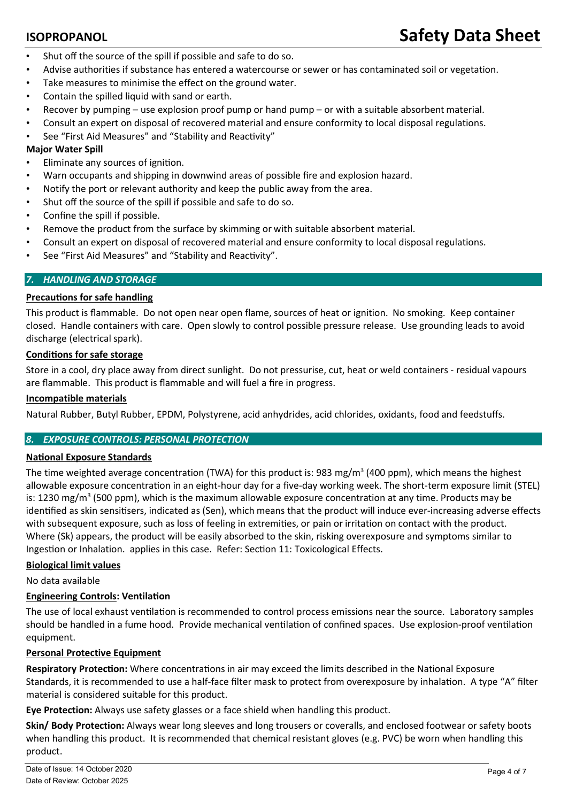- Shut off the source of the spill if possible and safe to do so.
- Advise authorities if substance has entered a watercourse or sewer or has contaminated soil or vegetation.
- Take measures to minimise the effect on the ground water.
- Contain the spilled liquid with sand or earth.
- Recover by pumping use explosion proof pump or hand pump or with a suitable absorbent material.
- Consult an expert on disposal of recovered material and ensure conformity to local disposal regulations.
- See "First Aid Measures" and "Stability and Reactivity"

# **Major Water Spill**

- Eliminate any sources of ignition.
- Warn occupants and shipping in downwind areas of possible fire and explosion hazard.
- Notify the port or relevant authority and keep the public away from the area.
- Shut off the source of the spill if possible and safe to do so.
- Confine the spill if possible.
- Remove the product from the surface by skimming or with suitable absorbent material.
- Consult an expert on disposal of recovered material and ensure conformity to local disposal regulations.
- See "First Aid Measures" and "Stability and Reactivity".

# *7. HANDLING AND STORAGE*

# **Precautions for safe handling**

This product is flammable. Do not open near open flame, sources of heat or ignition. No smoking. Keep container closed. Handle containers with care. Open slowly to control possible pressure release. Use grounding leads to avoid discharge (electrical spark).

### **Condi�ons for safe storage**

Store in a cool, dry place away from direct sunlight. Do not pressurise, cut, heat or weld containers - residual vapours are flammable. This product is flammable and will fuel a fire in progress.

### **Incompatible materials**

Natural Rubber, Butyl Rubber, EPDM, Polystyrene, acid anhydrides, acid chlorides, oxidants, food and feedstuffs.

# *8. EXPOSURE CONTROLS: PERSONAL PROTECTION*

### **National Exposure Standards**

The time weighted average concentration (TWA) for this product is: 983 mg/m<sup>3</sup> (400 ppm), which means the highest allowable exposure concentration in an eight-hour day for a five-day working week. The short-term exposure limit (STEL) is: 1230 mg/m<sup>3</sup> (500 ppm), which is the maximum allowable exposure concentration at any time. Products may be identified as skin sensitisers, indicated as (Sen), which means that the product will induce ever-increasing adverse effects with subsequent exposure, such as loss of feeling in extremities, or pain or irritation on contact with the product. Where (Sk) appears, the product will be easily absorbed to the skin, risking overexposure and symptoms similar to Ingestion or Inhalation. applies in this case. Refer: Section 11: Toxicological Effects.

### **Biological limit values**

No data available

### **Engineering Controls: Ventilation**

The use of local exhaust ventilation is recommended to control process emissions near the source. Laboratory samples should be handled in a fume hood. Provide mechanical ventilation of confined spaces. Use explosion-proof ventilation equipment.

### **Personal Protective Equipment**

**Respiratory Protection:** Where concentrations in air may exceed the limits described in the National Exposure Standards, it is recommended to use a half-face filter mask to protect from overexposure by inhalation. A type "A" filter material is considered suitable for this product.

**Eye Protection:** Always use safety glasses or a face shield when handling this product.

**Skin/ Body Protection:** Always wear long sleeves and long trousers or coveralls, and enclosed footwear or safety boots when handling this product. It is recommended that chemical resistant gloves (e.g. PVC) be worn when handling this product.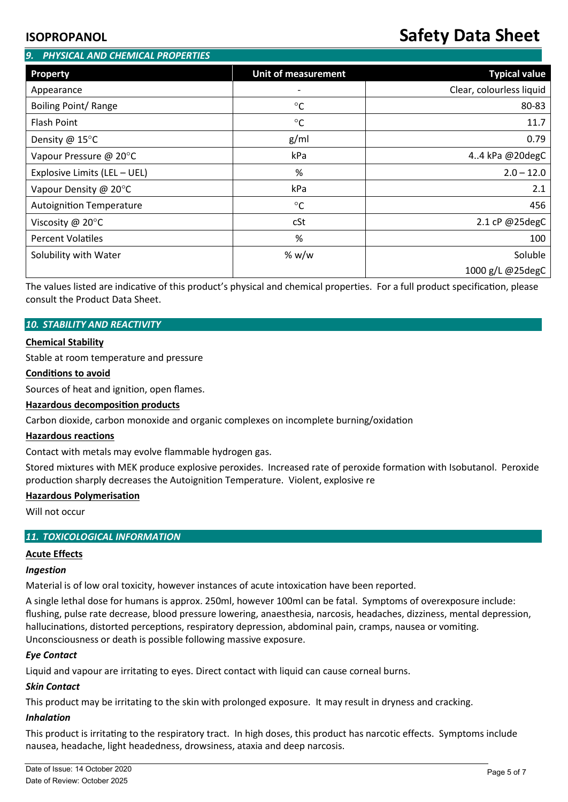# **ISOPROPANOL Safety Data Sheet**

| PHYSICAL AND CHEMICAL PROPERTIES<br>9. |                            |                          |  |  |
|----------------------------------------|----------------------------|--------------------------|--|--|
| <b>Property</b>                        | <b>Unit of measurement</b> | <b>Typical value</b>     |  |  |
| Appearance                             | $\overline{\phantom{0}}$   | Clear, colourless liquid |  |  |
| Boiling Point/ Range                   | $^{\circ}C$                | 80-83                    |  |  |
| <b>Flash Point</b>                     | $\rm ^{\circ}C$            | 11.7                     |  |  |
| Density @ 15°C                         | g/ml                       | 0.79                     |  |  |
| Vapour Pressure @ 20°C                 | kPa                        | 4.4 kPa @20degC          |  |  |
| Explosive Limits (LEL - UEL)           | %                          | $2.0 - 12.0$             |  |  |
| Vapour Density @ 20°C                  | kPa                        | 2.1                      |  |  |
| <b>Autoignition Temperature</b>        | $\rm ^{\circ}C$            | 456                      |  |  |
| Viscosity @ $20^{\circ}$ C             | cSt                        | 2.1 cP @25degC           |  |  |
| <b>Percent Volatiles</b>               | %                          | 100                      |  |  |
| Solubility with Water                  | % $w/w$                    | Soluble                  |  |  |
|                                        |                            | 1000 g/L @25degC         |  |  |

The values listed are indicative of this product's physical and chemical properties. For a full product specification, please consult the Product Data Sheet.

### *10. STABILITY AND REACTIVITY*

### **Chemical Stability**

Stable at room temperature and pressure

### **Conditions to avoid**

Sources of heat and ignition, open flames.

### **Hazardous decomposition products**

Carbon dioxide, carbon monoxide and organic complexes on incomplete burning/oxidation

### **Hazardous reactions**

Contact with metals may evolve flammable hydrogen gas.

Stored mixtures with MEK produce explosive peroxides. Increased rate of peroxide formation with Isobutanol. Peroxide production sharply decreases the Autoignition Temperature. Violent, explosive re

### **Hazardous Polymerisation**

Will not occur

### *11. TOXICOLOGICAL INFORMATION*

### **Acute Effects**

### *Ingestion*

Material is of low oral toxicity, however instances of acute intoxication have been reported.

A single lethal dose for humans is approx. 250ml, however 100ml can be fatal. Symptoms of overexposure include: flushing, pulse rate decrease, blood pressure lowering, anaesthesia, narcosis, headaches, dizziness, mental depression, hallucinations, distorted perceptions, respiratory depression, abdominal pain, cramps, nausea or vomiting. Unconsciousness or death is possible following massive exposure.

### *Eye Contact*

Liquid and vapour are irritating to eyes. Direct contact with liquid can cause corneal burns.

### *Skin Contact*

This product may be irritating to the skin with prolonged exposure. It may result in dryness and cracking.

### *Inhalation*

This product is irritating to the respiratory tract. In high doses, this product has narcotic effects. Symptoms include nausea, headache, light headedness, drowsiness, ataxia and deep narcosis.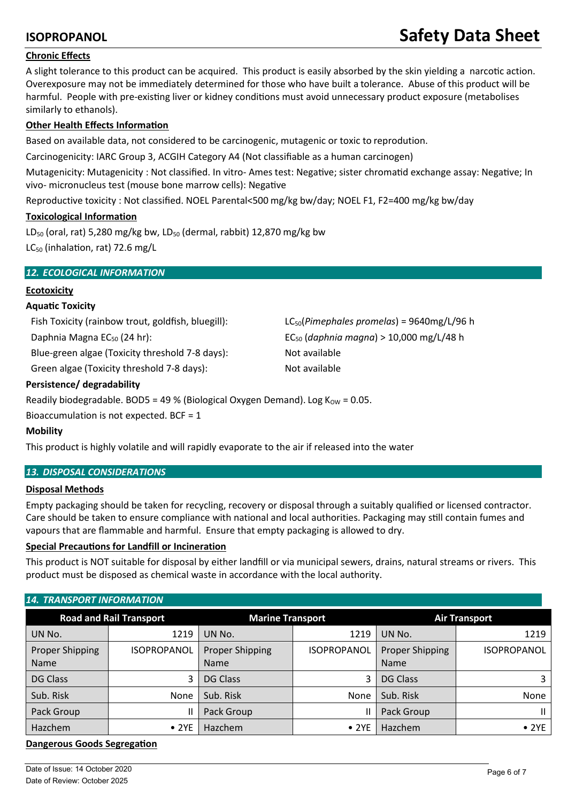# **ISOPROPANOL Safety Data Sheet**

# **Chronic Effects**

A slight tolerance to this product can be acquired. This product is easily absorbed by the skin yielding a narcotic action. Overexposure may not be immediately determined for those who have built a tolerance. Abuse of this product will be harmful. People with pre-existing liver or kidney conditions must avoid unnecessary product exposure (metabolises similarly to ethanols).

# **Other Health Effects Information**

Based on available data, not considered to be carcinogenic, mutagenic or toxic to reprodution.

Carcinogenicity: IARC Group 3, ACGIH Category A4 (Not classifiable as a human carcinogen)

Mutagenicity: Mutagenicity : Not classified. In vitro- Ames test: Negative; sister chromatid exchange assay: Negative; In vivo- micronucleus test (mouse bone marrow cells): Negative

Reproductive toxicity : Not classified. NOEL Parental<500 mg/kg bw/day; NOEL F1, F2=400 mg/kg bw/day

# **Toxicological Information**

LD<sub>50</sub> (oral, rat) 5,280 mg/kg bw, LD<sub>50</sub> (dermal, rabbit) 12,870 mg/kg bw  $LC_{50}$  (inhalation, rat) 72.6 mg/L

# *12. ECOLOGICAL INFORMATION*

# **Ecotoxicity**

# **Aqua�c Toxicity**

Fish Toxicity (rainbow trout, goldfish, bluegill): LC50(*Pimephales promelas*) = 9640mg/L/96 h

Blue-green algae (Toxicity threshold 7-8 days): Not available

Green algae (Toxicity threshold 7-8 days): Not available

Daphnia Magna EC<sup>50</sup> (24 hr): EC<sup>50</sup> (*daphnia magna*) > 10,000 mg/L/48 h

# **Persistence/ degradability**

Readily biodegradable. BOD5 = 49 % (Biological Oxygen Demand). Log  $K_{OW} = 0.05$ .

Bioaccumulation is not expected. BCF = 1

# **Mobility**

This product is highly volatile and will rapidly evaporate to the air if released into the water

# *13. DISPOSAL CONSIDERATIONS*

# **Disposal Methods**

Empty packaging should be taken for recycling, recovery or disposal through a suitably qualified or licensed contractor. Care should be taken to ensure compliance with national and local authorities. Packaging may still contain fumes and vapours that are flammable and harmful. Ensure that empty packaging is allowed to dry.

# **Special Precautions for Landfill or Incineration**

This product is NOT suitable for disposal by either landfill or via municipal sewers, drains, natural streams or rivers. This product must be disposed as chemical waste in accordance with the local authority.

# *14. TRANSPORT INFORMATION*

| <b>Road and Rail Transport</b> |                    | <b>Marine Transport</b>               |                    | <b>Air Transport</b>           |                    |
|--------------------------------|--------------------|---------------------------------------|--------------------|--------------------------------|--------------------|
| UN No.                         | 1219               | UN No.                                | 1219               | UN No.                         | 1219               |
| Proper Shipping<br><b>Name</b> | <b>ISOPROPANOL</b> | <b>Proper Shipping</b><br><b>Name</b> | <b>ISOPROPANOL</b> | Proper Shipping<br><b>Name</b> | <b>ISOPROPANOL</b> |
| <b>DG Class</b>                | 3                  | <b>DG Class</b>                       | 3                  | <b>DG Class</b>                | 3                  |
| Sub. Risk                      | None               | Sub. Risk                             | None               | Sub. Risk                      | None               |
| Pack Group                     | П                  | Pack Group                            |                    | Pack Group                     | $\mathbf{H}$       |
| Hazchem                        | • 2YE              | Hazchem                               | $\bullet$ 2YE      | Hazchem                        | $\bullet$ 2YE      |

# **Dangerous Goods Segregation**